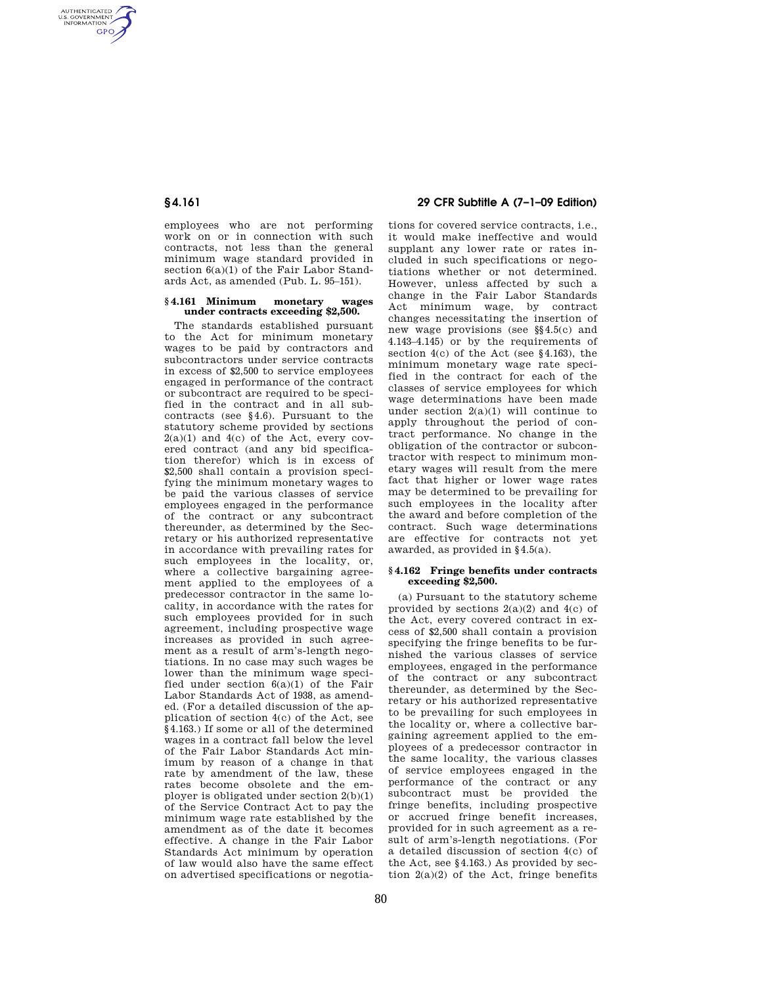AUTHENTICATED<br>U.S. GOVERNMENT<br>INFORMATION **GPO** 

> employees who are not performing work on or in connection with such contracts, not less than the general minimum wage standard provided in section 6(a)(1) of the Fair Labor Standards Act, as amended (Pub. L. 95–151).

#### **§ 4.161 Minimum monetary wages under contracts exceeding \$2,500.**

The standards established pursuant to the Act for minimum monetary wages to be paid by contractors and subcontractors under service contracts in excess of \$2,500 to service employees engaged in performance of the contract or subcontract are required to be specified in the contract and in all subcontracts (see §4.6). Pursuant to the statutory scheme provided by sections  $2(a)(1)$  and  $4(c)$  of the Act, every covered contract (and any bid specification therefor) which is in excess of \$2,500 shall contain a provision specifying the minimum monetary wages to be paid the various classes of service employees engaged in the performance of the contract or any subcontract thereunder, as determined by the Secretary or his authorized representative in accordance with prevailing rates for such employees in the locality, or, where a collective bargaining agreement applied to the employees of a predecessor contractor in the same locality, in accordance with the rates for such employees provided for in such agreement, including prospective wage increases as provided in such agreement as a result of arm's-length negotiations. In no case may such wages be lower than the minimum wage specified under section 6(a)(1) of the Fair Labor Standards Act of 1938, as amended. (For a detailed discussion of the application of section 4(c) of the Act, see §4.163.) If some or all of the determined wages in a contract fall below the level of the Fair Labor Standards Act minimum by reason of a change in that rate by amendment of the law, these rates become obsolete and the employer is obligated under section 2(b)(1) of the Service Contract Act to pay the minimum wage rate established by the amendment as of the date it becomes effective. A change in the Fair Labor Standards Act minimum by operation of law would also have the same effect on advertised specifications or negotia-

# **§ 4.161 29 CFR Subtitle A (7–1–09 Edition)**

tions for covered service contracts, i.e., it would make ineffective and would supplant any lower rate or rates included in such specifications or negotiations whether or not determined. However, unless affected by such a change in the Fair Labor Standards Act minimum wage, by contract changes necessitating the insertion of new wage provisions (see §§4.5(c) and 4.143–4.145) or by the requirements of section 4(c) of the Act (see §4.163), the minimum monetary wage rate specified in the contract for each of the classes of service employees for which wage determinations have been made under section  $2(a)(1)$  will continue to apply throughout the period of contract performance. No change in the obligation of the contractor or subcontractor with respect to minimum monetary wages will result from the mere fact that higher or lower wage rates may be determined to be prevailing for such employees in the locality after the award and before completion of the contract. Such wage determinations are effective for contracts not yet awarded, as provided in §4.5(a).

### **§ 4.162 Fringe benefits under contracts exceeding \$2,500.**

(a) Pursuant to the statutory scheme provided by sections  $2(a)(2)$  and  $4(c)$  of the Act, every covered contract in excess of \$2,500 shall contain a provision specifying the fringe benefits to be furnished the various classes of service employees, engaged in the performance of the contract or any subcontract thereunder, as determined by the Secretary or his authorized representative to be prevailing for such employees in the locality or, where a collective bargaining agreement applied to the employees of a predecessor contractor in the same locality, the various classes of service employees engaged in the performance of the contract or any subcontract must be provided the fringe benefits, including prospective or accrued fringe benefit increases, provided for in such agreement as a result of arm's-length negotiations. (For a detailed discussion of section 4(c) of the Act, see §4.163.) As provided by section  $2(a)(2)$  of the Act, fringe benefits